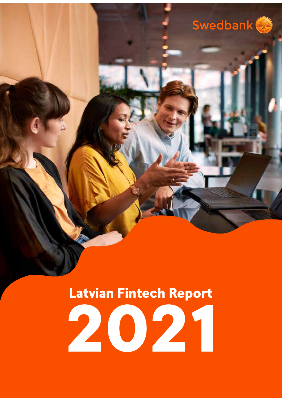

### Latvian Fintech Report

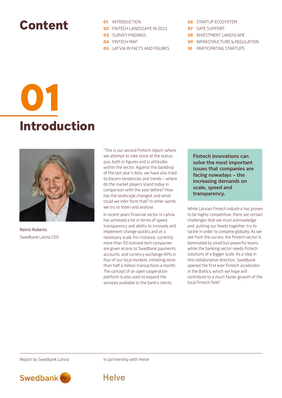### Content

- **01** INTRODUCTION
- **02** FINTECH LANDSCAPE IN 2021
- **03** SURVEY FINDINGS
- **04** FINTECH MAP
- **05** LATVIA IN FACTS AND FIGURES
- 06 STARTUP ECOSYSTEM
- 07 SATE SUPPORT
- **08** INVESTMENT LANDSCAPE
- 09 INFRASTRUCTURE & REGULATION
- **10** PARTICIPATING STARTUPS

# Introduction 01



Reinis Rubenis Swedbank Latvia CEO "This is our second Fintech report, where we attempt to take stock of the status quo, both in figures and in attitudes within the sector. Against the backdrop of the last year's data, we have also tried to discern tendencies and trends – where do the market players stand today in comparison with the year before? How has the landscape changed, and what could we infer form that? In other words, we try to listen and analyse.

In recent years financial sector in Latvia has achieved a lot in terms of speed, transparency and ability to innovate and implement change quickly and at a necessary scale. For instance, currently more than 50 licensed tech companies are given access to Swedbank payments, accounts, and currency exchange APIs in four of our local markets, initiating more than half a million transactions a month. The concept of an open cooperation platform is also used to expand the services available to the bank's clients.

**Fintech innovations can solve the most important issues that companies are facing nowadays – the increasing demands on scale, speed and transparency.** 

While Latvian Fintech industry has proven to be highly competitive, there are certain challenges that we must acknowledge and, putting our heads together, try to tackle in order to compete globally. As we see from the survey, the Fintech sector is dominated by small but powerful teams while the banking sector needs Fintech solutions of a bigger scale. As a step in this collaborative direction, Swedbank opened the first ever Fintech accelerator in the Baltics, which we hope will contribute to a much faster growth of the local Fintech field."

Report by Swedbank Latvia **In partnership with Helve** 



**Helve**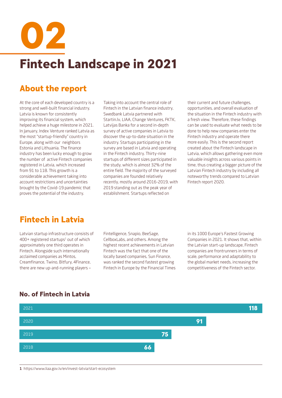Fintech Landscape in 2021 02

#### About the report

At the core of each developed country is a strong and well-built financial industry. Latvia is known for consistently improving its financial system, which helped achieve a huge milestone in 2021. In January, Index Venture ranked Latvia as the most "startup-friendly" country in Europe, along with our neighbors Estonia and Lithuania. The finance industry has been lucky enough to grow the number of active Fintech companies registered in Latvia, which increased from 91 to 118. This growth is a considerable achievement taking into account restrictions and uncertainties brought by the Covid-19 pandemic that proves the potential of the industry.

Taking into account the central role of Fintech in the Latvian finance industry, Swedbank Latvia partnered with Startin.lv, LIAA, Change Ventures, FKTK, Latvijas Banka for a second in-depth survey of active companies in Latvia to discover the up-to-date situation in the industry. Startups participating in the survey are based in Latvia and operating in the Fintech industry. Thirty-nine startups of different sizes participated in the study, which is almost 32% of the entire field. The majority of the surveyed companies are founded relatively recently, mostly around 2016-2019, with 2019 standing out as the peak year of establishment. Startups reflected on

their current and future challenges, opportunities, and overall evaluation of the situation in the Fintech industry with a fresh view. Therefore, these findings can be used to evaluate what needs to be done to help new companies enter the Fintech industry and operate there more easily. This is the second report created about the Fintech landscape in Latvia, which allows gathering even more valuable insights across various points in time, thus creating a bigger picture of the Latvian Fintech industry by including all noteworthy trends compared to Latvian Fintech report 2020.

#### Fintech in Latvia

Latvian startup infrastructure consists of 400+ registered startups<sup>1</sup> out of which approximately one third operates in Fintech. Alongside such internationally acclaimed companies as Mintos, Creamfinance, Twino, Bitfury, 4Finance, there are new up-and-running players –

Fintelligence, Snapio, BeeSage, CellboxLabs, and others. Among the highest recent achievements in Latvian Fintech was the fact that one of the locally based companies, Sun Finance, was ranked the second fastest growing Fintech in Europe by the Financial Times in its 1000 Europe's Fastest Growing Companies in 2021. It shows that, within the Latvian start-up landscape, Fintech companies are frontrunners in terms of scale, performance and adaptability to the global market needs, increasing the competitiveness of the Fintech sector.



#### No. of Fintech in Latvia

**1** https://www.liaa.gov.lv/en/invest-latvia/start-ecosystem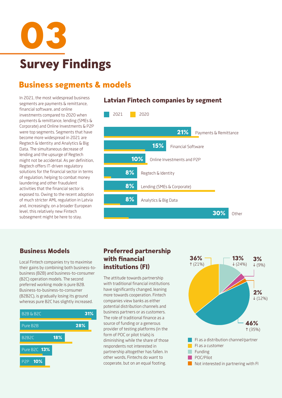

#### Business segments & models

segments are payments & remittance, financial software, and online investments compared to 2020 when payments & remittance, lending (SMEs & Corporate) and Online Investments & P2P were top segments. Segments that have become more widespread in 2021 are Regtech & Identity and Analytics & Big Data. The simultaneous decrease of lending and the upsurge of Regtech might not be accidental. As per definition, Regtech offers IT-driven regulatory solutions for the financial sector in terms of regulation, helping to combat money laundering and other fraudulent activities that the financial sector is exposed to. Owing to the recent adoption of much stricter AML regulation in Latvia and, increasingly, on a broader European level, this relatively new Fintech subsegment might be here to stay.

#### In 2021, the most widespread business **Latvian Fintech companies by segment**



Local Fintech companies try to maximise their gains by combining both business-tobusiness (B2B) and business-to-consumer (B2C) operation models. The second preferred working mode is pure B2B. Business-to-business-to-consumer (B2B2C), is gradually losing its ground whereas pure B2C has slightly increased.



#### Business Models Preferred partnership with financial institutions (FI)

The attitude towards partnership with traditional financial institutions have significantly changed, leaning more towards cooperation. Fintech companies view banks as either potential distribution channels and business partners or as customers. The role of traditional finance as a source of funding or a generous provider of testing platforms (in the form of POC or pilot trials) is diminishing while the share of those respondents not interested in partnership altogether has fallen. In other words, Fintechs do want to cooperate, but on an equal footing.

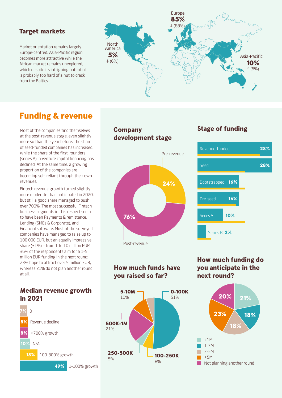#### Target markets

Market orientation remains largely Europe-centred. Asia-Pacific region becomes more attractive while the African market remains unexplored, which despite its intriguing potential is probably too hard of a nut to crack from the Baltics.



#### Funding & revenue

Most of the companies find themselves at the post-revenue stage, even slightly more so than the year before. The share of seed-funded companies has increased, while the share of the first-rounders (series A) in venture capital financing has declined. At the same time, a growing proportion of the companies are becoming self-reliant through their own revenues.

Fintech revenue growth turned slightly more moderate than anticipated in 2020, but still a good share managed to push over 700%. The most successful Fintech business segments in this respect seem to have been Payments & remittance, Lending (SMEs & Corporate), and Financial software. Most of the surveyed companies have managed to raise up to 100 000 EUR, but an equally impressive share (31%) – from 1 to 10 million EUR. 36% of the respondents aim for a 1-5 million EUR funding in the next round; 23% hope to attract over 5 million EUR, whereas 21% do not plan another round at all.

#### Median revenue growth in 2021



# development stage 76% 24% Post-revenue Pre-revenue

Company

#### How much funds have you raised so far?



#### Stage of funding



How much funding do you anticipate in the next round?

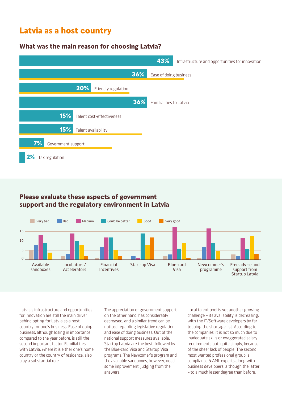#### Latvia as a host country

#### What was the main reason for choosing Latvia?

|                                  | 43%                     | Infrastructure and opportunities for innovation |
|----------------------------------|-------------------------|-------------------------------------------------|
| 36%                              | Ease of doing business  |                                                 |
| 20%<br>Friendly regulation       |                         |                                                 |
| 36%                              | Familial ties to Latvia |                                                 |
| 15%<br>Talent cost-effectiveness |                         |                                                 |
| 15%<br>Talent availability       |                         |                                                 |
| 7%<br>Government support         |                         |                                                 |
| 2%<br>Tax regulation             |                         |                                                 |

#### Please evaluate these aspects of government support and the regulatory environment in Latvia



Latvia's infrastructure and opportunities for innovation are still the main driver behind opting for Latvia as a host country for one's business. Ease of doing business, although losing in importance compared to the year before, is still the second important factor. Familial ties with Latvia, where it is either one's home country or the country of residence, also play a substantial role.

The appreciation of government support, on the other hand, has considerably decreased, and a similar trend can be noticed regarding legislative regulation and ease of doing business. Out of the national support measures available, Startup Latvia are the best, followed by the Blue-card Visa and Startup Visa programs. The Newcomer's program and the available sandboxes, however, need some improvement, judging from the answers.

Local talent pool is yet another growing challenge – its availability is decreasing, with the IT/Software developers by far topping the shortage list. According to the companies, it is not so much due to inadequate skills or exaggerated salary requirements but, quite simply, because of the sheer lack of people. The second most wanted professional group is compliance & AML experts along with business developers, although the latter – to a much lesser degree than before.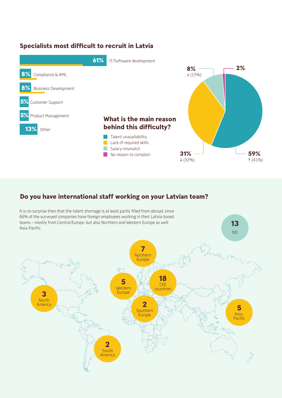#### Specialists most difficult to recruit in Latvia



#### Do you have international staff working on your Latvian team?

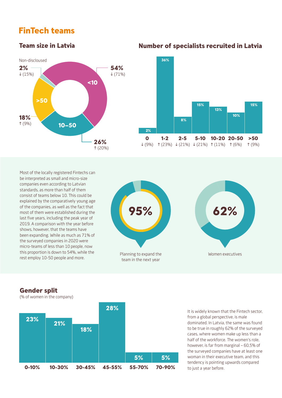#### FinTech teams

#### Team size in Latvia



Most of the locally registered Fintechs can be interpreted as small and micro-size companies even according to Latvian standards, as more than half of them consist of teams below 10. This could be explained by the comparatively young age of the companies, as well as the fact that most of them were established during the last five years, including the peak year of 2019. A comparison with the year before shows, however, that the teams have been expanding. While as much as 71% of the surveyed companies in 2020 were micro-teams of less than 10 people, now this proportion is down to 54%, while the rest employ 10-50 people and more.



 $\Omega$ 

2%

1-2

36%

#### Number of specialists recruited in Latvia

 $\downarrow$  (9%)  $\uparrow$  (23%)  $\downarrow$  (21%)  $\downarrow$  (21%)  $\uparrow$  (11%)  $\uparrow$  (6%)

5-10 10-20 20-50

13%

15% 15%

10%

>50 (9%)

2-5

8%



#### Gender split

(% of women in the company)

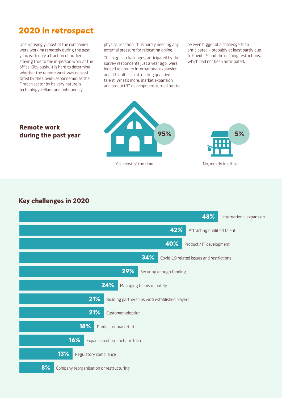#### 2020 in retrospect

Unsurprisingly, most of the companies were working remotely during the past year, with only a fraction of outliers staying true to the in-person work at the office. Obviously, it is hard to determine whether the remote work was necessitated by the Covid-19 pandemic, as the Fintech sector by its very nature is technology-reliant and unbound by

physical location, thus hardly needing any external pressure for relocating online.

The biggest challenges, anticipated by the survey respondents just a year ago, were indeed related to international expansion and difficulties in attracting qualified talent. What's more, market expansion and product/IT development turned out to be even bigger of a challenge than anticipated – probably at least partly due to Covid-19 and the ensuing restrictions, which had not been anticipated.

#### Remote work during the past year



Yes, most of the time



No, mostly in office

#### Key challenges in 2020

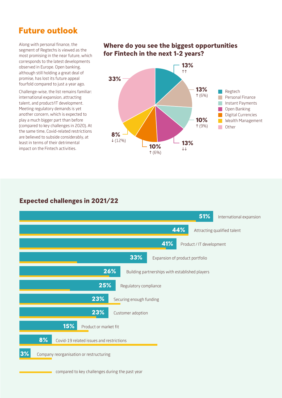#### Future outlook

Along with personal finance, the segment of Regtechs is viewed as the most promising in the near future, which corresponds to the latest developments observed in Europe. Open banking, although still holding a great deal of promise, has lost its future appeal fourfold compared to just a year ago.

Challenge-wise, the list remains familiar: international expansion, attracting talent, and product/IT development. Meeting regulatory demands is yet another concern, which is expected to play a much bigger part than before (compared to key challenges in 2020). At the same time, Covid-related restrictions are believed to subside considerably, at least in terms of their detrimental impact on the Fintech activities.

#### Where do you see the biggest opportunities for Fintech in the next 1-2 years?



#### Expected challenges in 2021/22



compared to key challenges during the past year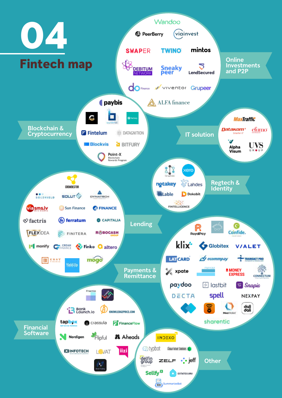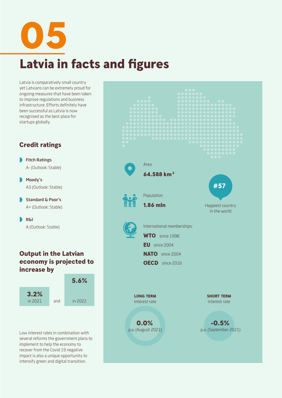Latvia in facts and figures 05

Latvia is comparatively small country yet Latvians can be extremely proud for ongoing measures that have been taken to improve regulations and business infrastructure. Efforts definitely have been successful as Latvia is now recognised as the best place for startups globally.

#### Credit ratings

**Fitch Ratings** A- (Outlook: Stable)

**Moody's** A3 (Outlook: Stable)

**Standard & Poor's** A+ (Outlook: Stable)

**R&I** A (Outlook: Stable)

#### Output in the Latvian economy is projected to increase by



Low interest rates in combination with several reforms the government plans to implement to help the economy to recover from the Covid 19 negative impact is also a unique opportunity to intensify green and digital transition.

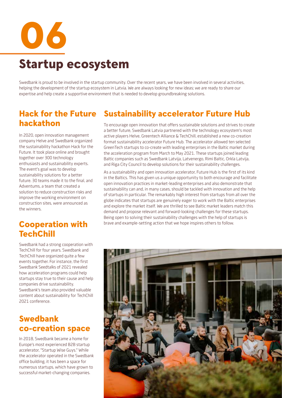06 Startup ecosystem

Swedbank is proud to be involved in the startup community. Over the recent years, we have been involved in several activities, helping the development of the startup ecosystem in Latvia. We are always looking for new ideas; we are ready to share our expertise and help create a supportive environment that is needed to develop groundbreaking solutions.

## hackathon

In 2020, open innovation management company Helve and Swedbank organized the sustainability hackathon Hack for the Future. It took place online and brought together over 300 technology enthusiasts and sustainability experts. The event's goal was to develop sustainability solutions for a better future. 30 teams made it to the final, and Adventums, a team that created a solution to reduce construction risks and improve the working environment on construction sites, were announced as the winners.

#### Cooperation with **TechChill**

Swedbank had a strong cooperation with TechChill for four years. Swedbank and TechChill have organized quite a few events together. For instance, the first Swedbank Seedtalks of 2021 revealed how acceleration programs could help startups stay true to their cause and help companies drive sustainability. Swedbank's team also provided valuable content about sustainability for TechChill 2021 conference.

#### Swedbank co-creation space

In 2018, Swedbank became a home for Europe's most experienced B2B startup accelerator, "Startup Wise Guys." While the accelerator operated in the Swedbank office building, it has been a space for numerous startups, which have grown to successful market-changing companies.

### Hack for the Future Sustainability accelerator Future Hub

To encourage open innovation that offers sustainable solutions and strives to create a better future, Swedbank Latvia partnered with the technology ecosystem's most active players Helve, Greentech Alliance & TechChill, established a new co-creation format sustainability accelerator Future Hub. The accelerator allowed ten selected GreenTech startups to co-create with leading enterprises in the Baltic market during the acceleration program from March to May 2021. These startups joined leading Baltic companies such as Swedbank Latvija, Latvenergo, Rimi Baltic, Orkla Latvija, and Riga City Council to develop solutions for their sustainability challenges.

As a sustainability and open innovation accelerator, Future Hub is the first of its kind in the Baltics. This has given us a unique opportunity to both encourage and facilitate open innovation practices in market-leading enterprises and also demonstrate that sustainability can and, in many cases, should be tackled with innovation and the help of startups in particular. The remarkably high interest from startups from all over the globe indicates that startups are genuinely eager to work with the Baltic enterprises and explore the market itself. We are thrilled to see Baltic market leaders match this demand and propose relevant and forward-looking challenges for these startups. Being open to solving their sustainability challenges with the help of startups is brave and example-setting action that we hope inspires others to follow.

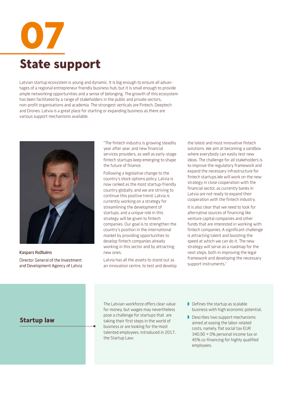

Latvian startup ecosystem is young and dynamic. It is big enough to ensure all advantages of a regional entrepreneur friendly business hub, but it is small enough to provide ample networking opportunities and a sense of belonging. The growth of this ecosystem has been facilitated by a range of stakeholders in the public and private sectors, non-profit organisations and academia. The strongest verticals are Fintech, Deeptech and Drones. Latvia is a great place for starting or expanding business as there are various support mechanisms available.



Kaspars Rožkalns Director General of the Investment and Development Agency of Latvia

"The fintech industry is growing steadily year after year, and new financial services providers, as well as early-stage fintech startups keep emerging to shape the future of finance.

Following a legislative change to the country's stock options policy, Latvia is now ranked as the most startup-friendly country globally, and we are striving to continue this positive trend. Latvia is currently working on a strategy for streamlining the development of startups, and a unique role in this strategy will be given to fintech companies. Our goal is to strengthen the country's position in the international market by providing opportunities to develop fintech companies already working in this sector and by attracting new ones.

Latvia has all the assets to stand out as an innovation centre, to test and develop

the latest and most innovative fintech solutions. We aim at becoming a sandbox where everybody can easily test new ideas. The challenge for all stakeholders is to improve the regulatory framework and expand the necessary infrastructure for fintech startups.We will work on the new strategy in close cooperation with the financial sector, as currently banks in Latvia are not ready to expand their cooperation with the fintech industry.

It is also clear that we need to look for alternative sources of financing like venture capital companies and other funds that are interested in working with fintech companies. A significant challenge is attracting talent and boosting the speed at which we can do it. The new strategy will serve as a roadmap for the next steps, both in improving the legal framework and developing the necessary support instruments."

#### Startup law

The Latvian workforce offers clear value for money, but wages may nevertheless pose a challenge for startups that are taking their first steps in the world of business or are looking for the most talented employees. Introduced in 2017, the Startup Law:

- Defines the startup as scalable business with high economic potential,
- Describes two support mechanisms aimed at easing the labor-related costs, namely, flat social tax EUR 340.90 + 0% personal income tax or 45% co-financing for highly qualified employees.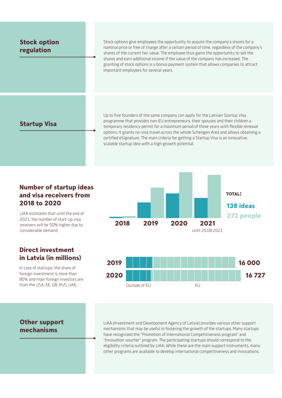#### Stock option regulation Stock options give employees the opportunity to acquire the company's shares for a nominal price or free of charge after a certain period of time, regardless of the company's shares of the current fair value. The employee thus gains the opportunity to sell the shares and earn additional income if the value of the company has increased. The granting of stock options is a bonus payment system that allows companies to attract important employees for several years. Startup Visa Up to five founders of the same company can apply for the Latvian Startup Visa programme that provides non-EU entrepreneurs, their spouses and their children a

temporary residency permit for a maximum period of three years with flexible renewal options. It grants no-visa travel across the whole Schengen Area and allows obtaining a certified eSignature. The main criteria for getting a Startup Visa is an innovative, scalable startup idea with a high growth potential.

#### Number of startup ideas and visa receivers from 2018 to 2020

LIAA estimates that until the end of 2021, the number of start-up visa receivers will be 50% higher due to considerable demand.

#### Direct investment in Latvia (in millions)

In case of startups, the share of foreign investment is more than 80% and main foreign investors are from the USA, EE, GB, RUS, UAE.





#### Other support mechanisms

LIAA (Investment and Development Agency of Latvia) provides various other support mechanisms that may be useful in fostering the growth of the startups. Many startups have recognized the "Promotion of International Competitiveness program" and "Innovation voucher" program. The participating startups should correspond to the eligibility criteria outlined by LIAA. While these are the main support instruments, many other programs are available to develop international competitiveness and innovations.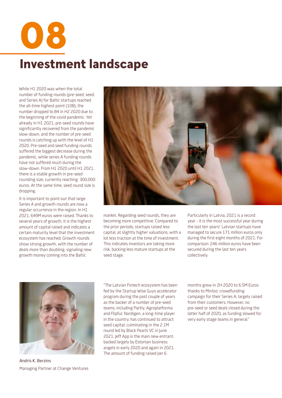Investment landscape 08

 While H1 2020 was when the total number of funding rounds (pre-seed, seed, and Series A) for Baltic startups reached the all-time highest point (108), the number dropped to 84 in H2 2020 due to the beginning of the covid pandemic. Yet already in H1 2021, pre-seed rounds have significantly recovered from the pandemic slow-down, and the number of pre-seed rounds is catching up with the level of H1 2020. Pre-seed and seed funding rounds suffered the biggest decrease during the pandemic, while series A funding rounds have not suffered much during the slow-down. From H1 2020 until H1 2021, there is a stable growth in pre-seed rounding size, currently reaching 300,000 euros. At the same time, seed round size is dropping.

It is important to point out that large Series A and growth rounds are now a regular occurrence in the region. In H1 2021, 649M euros were raised. Thanks to several years of growth, it is the highest amount of capital raised and indicates a certain maturity level that the investment ecosystem has reached. Growth rounds show strong growth, with the number of deals more than doubling, signaling new growth money coming into the Baltic



market. Regarding seed rounds, they are becoming more competitive. Compared to the prior periods, startups raised less capital, at slightly higher valuations, with a lot less traction at the time of investment. This indicates investors are taking more risk, backing less mature startups at the seed stage.

Particularly in Latvia, 2021 is a record year - it is the most successful year during the last ten years! Latvian startups have managed to secure 171 million euros only during the first eight months of 2021. For comparison: 246 million euros have been secured during the last ten years collectively.



Andris K. Berzins Managing Partner at Change Ventures

"The Latvian Fintech ecosystem has been fed by the Startup Wise Guys accelerator program during the past couple of years as the backer of a number of pre-seed teams, including Partly, Agroplatforma and Flipful. Nordigen, a long-time player in the country, has continued to attract seed capital, culminating in the 2.1M round led by Black Pearls VC in June 2021. Jeff App is the main new entrant, backed largely by Estonian business angels in early 2020 and again in 2021. The amount of funding raised per 6

months grew in 2H 2020 to 6.5M Euros thanks to Mintos' crowdfunding campaign for their Series A, largely raised from their customers. However, no pre-seed or seed deals closed during the latter half of 2020, as funding slowed for very early stage teams in general."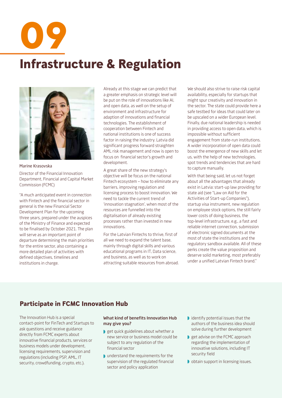Infrastructure & Regulation 09



Marine Krasovska

Director of the Financial Innovation Department, Financial and Capital Market Commission (FCMC)

"A much anticipated event in connection with Fintech and the financial sector in general is the new Financial Sector Development Plan for the upcoming three years, prepared under the auspices of the Ministry of Finance and expected to be finalised by October 2021. The plan will serve as an important point of departure determining the main priorities for the entire sector, also containing a more detailed plan of activities with defined objectives, timelines and institutions in charge.

Already at this stage we can predict that a greater emphasis on strategic level will be put on the role of innovations like AI, and open data, as well on the setup of environment and infrastructure for adaption of innovations and financial technologies. The establishment of cooperation between Fintech and national institutions is one of success factor in raising the industry. Latvia did significant progress forward straighten AML risk management and now is open to focus on financial sector's growth and development.

A great share of the new strategy's objective will be focus on the national Fintech ecosystem – how to eliminate any barriers, improving regulation and licensing process to boost innovation. We need to tackle the current trend of 'innovation stagnation', when most of the resources are funnelled into the digitalisation of already existing processes rather than invested in new innovations.

For the Latvian Fintechs to thrive, first of all we need to expand the talent base, mainly through digital skills and various educational programs in IT, Data science, and business, as well as to work on attracting suitable resources from abroad. We should also strive to raise risk capital availability, especially for startups that might spur creativity and innovation in the sector. The state could provide here a safe testbed for ideas that could later on be upscaled on a wider European level. Finally, due national leadership is needed in providing access to open data, which is impossible without sufficient engagement from state-run institutions. A wider incorporation of open data could boost the emergence of new skills and let us, with the help of new technologies, spot trends and tendencies that are hard to capture manually.

With that being said, let us not forget about all the advantages that already exist in Latvia: start-up law providing for state aid (see "Law on Aid for the Activities of Start-up Companies"), startup visa instrument, new regulation on employee stock options, the still fairly lower costs of doing business, the top-level infrastructure, e.g., a fast and reliable internet connection, submission of electronic signed documents at the most of state the institutions and the regulatory sandbox available. All of these perks create the value proposition and deserve solid marketing, most preferably under a unified Latvian Fintech brand."

#### Participate in FCMC Innovation Hub

The Innovation Hub is a special contact-point for FinTech and Startups to ask questions and receive guidance directly from FCMC experts about innovative financial products, services or business models under development, licensing requirements, supervision and regulations (including PSP, AML, IT security, crowdfunding, crypto, etc.).

#### **What kind of benefits Innovation Hub may give you?**

- get quick guidelines about whether a new service or business model could be subject to any regulation of the financial sector
- understand the requirements for the supervision of the regulated financial sector and policy application
- identify potential issues that the authors of the business idea should solve during further development
- get advise on the FCMC approach regarding the implementation of innovative solutions, including IT security field
- obtain support in licensing issues.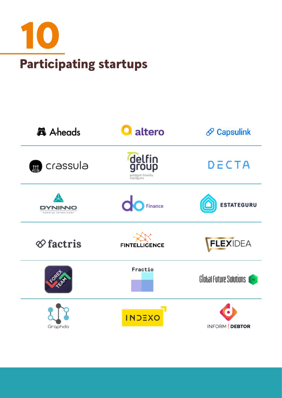

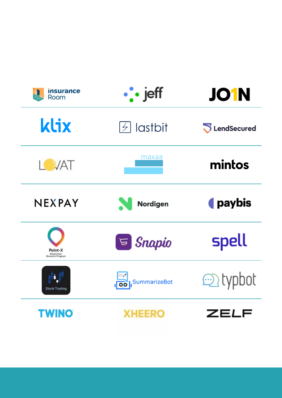